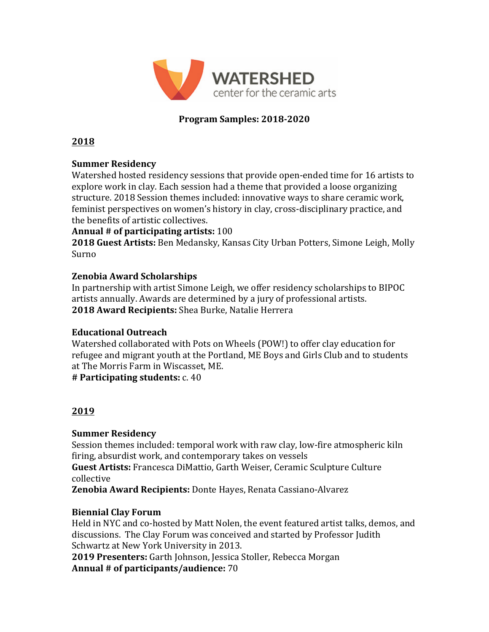

# **Program Samples: 2018-2020**

#### **2018**

### **Summer Residency**

Watershed hosted residency sessions that provide open-ended time for 16 artists to explore work in clay. Each session had a theme that provided a loose organizing structure. 2018 Session themes included: innovative ways to share ceramic work, feminist perspectives on women's history in clay, cross-disciplinary practice, and the benefits of artistic collectives.

### Annual # of participating artists: 100

**2018 Guest Artists:** Ben Medansky, Kansas City Urban Potters, Simone Leigh, Molly Surno

### **Zenobia Award Scholarships**

In partnership with artist Simone Leigh, we offer residency scholarships to BIPOC artists annually. Awards are determined by a jury of professional artists. **2018 Award Recipients:** Shea Burke, Natalie Herrera

#### **Educational Outreach**

Watershed collaborated with Pots on Wheels (POW!) to offer clay education for refugee and migrant youth at the Portland, ME Boys and Girls Club and to students at The Morris Farm in Wiscasset, ME.

**# Participating students:** c. 40

## **2019**

## **Summer Residency**

Session themes included: temporal work with raw clay, low-fire atmospheric kiln firing, absurdist work, and contemporary takes on vessels

**Guest Artists:** Francesca DiMattio, Garth Weiser, Ceramic Sculpture Culture collective

**Zenobia Award Recipients:** Donte Hayes, Renata Cassiano-Alvarez

## **Biennial Clay Forum**

Held in NYC and co-hosted by Matt Nolen, the event featured artist talks, demos, and discussions. The Clay Forum was conceived and started by Professor Judith Schwartz at New York University in 2013.

2019 Presenters: Garth Johnson, Jessica Stoller, Rebecca Morgan Annual # of participants/audience: 70